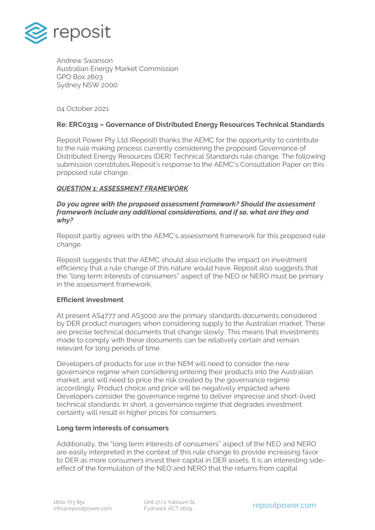

Andrew Swanson Australian Energy Market Commission GPO Box 2603 Sydney NSW 2000

04 October 2021

#### **Re: ERC0319 – Governance of Distributed Energy Resources Technical Standards**

Reposit Power Pty Ltd (Reposit) thanks the AEMC for the opportunity to contribute to the rule making process currently considering the proposed Governance of Distributed Energy Resources (DER) Technical Standards rule change. The following submission constitutes Reposit's response to the AEMC's Consultation Paper on this proposed rule change.

#### *QUESTION 1: ASSESSMENT FRAMEWORK*

#### *Do you agree with the proposed assessment framework? Should the assessment framework include any additional considerations, and if so, what are they and why?*

Reposit partly agrees with the AEMC's assessment framework for this proposed rule change.

Reposit suggests that the AEMC should also include the impact on investment efficiency that a rule change of this nature would have. Reposit also suggests that the "long term interests of consumers" aspect of the NEO or NERO must be primary in the assessment framework.

#### **Efficient investment**

At present AS4777 and AS3000 are the primary standards documents considered by DER product managers when considering supply to the Australian market. These are precise technical documents that change slowly. This means that investments made to comply with these documents can be relatively certain and remain relevant for long periods of time.

Developers of products for use in the NEM will need to consider the new governance regime when considering entering their products into the Australian market, and will need to price the risk created by the governance regime accordingly. Product choice and price will be negatively impacted where Developers consider the governance regime to deliver imprecise and short-lived technical standards. In short, a governance regime that degrades investment certainty will result in higher prices for consumers.

#### **Long term interests of consumers**

Additionally, the "long term interests of consumers" aspect of the NEO and NERO are easily interpreted in the context of this rule change to provide increasing favor to DER as more consumers invest their capital in DER assets. It is an interesting sideeffect of the formulation of the NEO and NERO that the returns from capital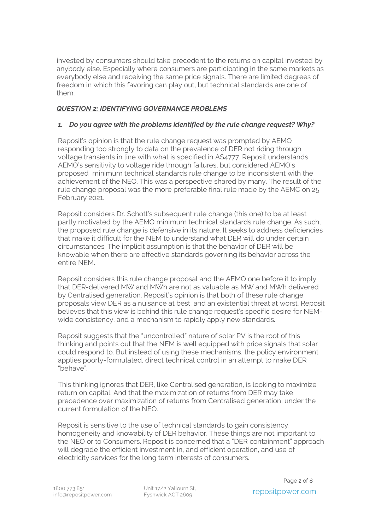invested by consumers should take precedent to the returns on capital invested by anybody else. Especially where consumers are participating in the same markets as everybody else and receiving the same price signals. There are limited degrees of freedom in which this favoring can play out, but technical standards are one of them.

# *QUESTION 2: IDENTIFYING GOVERNANCE PROBLEMS*

# *1. Do you agree with the problems identified by the rule change request? Why?*

Reposit's opinion is that the rule change request was prompted by AEMO responding too strongly to data on the prevalence of DER not riding through voltage transients in line with what is specified in AS4777. Reposit understands AEMO's sensitivity to voltage ride through failures, but considered AEMO's proposed minimum technical standards rule change to be inconsistent with the achievement of the NEO. This was a perspective shared by many. The result of the rule change proposal was the more preferable final rule made by the AEMC on 25 February 2021.

Reposit considers Dr. Schott's subsequent rule change (this one) to be at least partly motivated by the AEMO minimum technical standards rule change. As such, the proposed rule change is defensive in its nature. It seeks to address deficiencies that make it difficult for the NEM to understand what DER will do under certain circumstances. The implicit assumption is that the behavior of DER will be knowable when there are effective standards governing its behavior across the entire NEM.

Reposit considers this rule change proposal and the AEMO one before it to imply that DER-delivered MW and MWh are not as valuable as MW and MWh delivered by Centralised generation. Reposit's opinion is that both of these rule change proposals view DER as a nuisance at best, and an existential threat at worst. Reposit believes that this view is behind this rule change request's specific desire for NEMwide consistency, and a mechanism to rapidly apply new standards.

Reposit suggests that the "uncontrolled" nature of solar PV is the root of this thinking and points out that the NEM is well equipped with price signals that solar could respond to. But instead of using these mechanisms, the policy environment applies poorly-formulated, direct technical control in an attempt to make DER "behave".

This thinking ignores that DER, like Centralised generation, is looking to maximize return on capital. And that the maximization of returns from DER may take precedence over maximization of returns from Centralised generation, under the current formulation of the NEO.

Reposit is sensitive to the use of technical standards to gain consistency, homogeneity and knowability of DER behavior. These things are not important to the NEO or to Consumers. Reposit is concerned that a "DER containment" approach will degrade the efficient investment in, and efficient operation, and use of electricity services for the long term interests of consumers.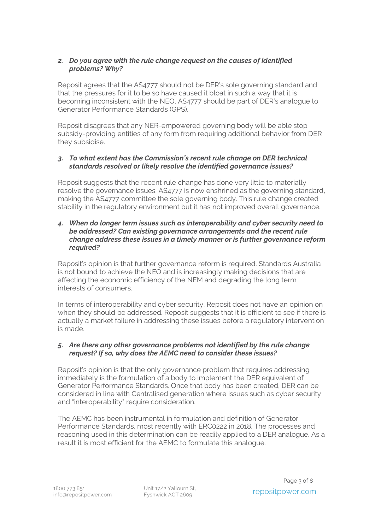## *2. Do you agree with the rule change request on the causes of identified problems? Why?*

Reposit agrees that the AS4777 should not be DER's sole governing standard and that the pressures for it to be so have caused it bloat in such a way that it is becoming inconsistent with the NEO. AS4777 should be part of DER's analogue to Generator Performance Standards (GPS).

Reposit disagrees that any NER-empowered governing body will be able stop subsidy-providing entities of any form from requiring additional behavior from DER they subsidise.

# *3. To what extent has the Commission's recent rule change on DER technical standards resolved or likely resolve the identified governance issues?*

Reposit suggests that the recent rule change has done very little to materially resolve the governance issues. AS4777 is now enshrined as the governing standard, making the AS4777 committee the sole governing body. This rule change created stability in the regulatory environment but it has not improved overall governance.

### *4. When do longer term issues such as interoperability and cyber security need to be addressed? Can existing governance arrangements and the recent rule change address these issues in a timely manner or is further governance reform required?*

Reposit's opinion is that further governance reform is required. Standards Australia is not bound to achieve the NEO and is increasingly making decisions that are affecting the economic efficiency of the NEM and degrading the long term interests of consumers.

In terms of interoperability and cyber security, Reposit does not have an opinion on when they should be addressed. Reposit suggests that it is efficient to see if there is actually a market failure in addressing these issues before a regulatory intervention is made.

# *5. Are there any other governance problems not identified by the rule change request? If so, why does the AEMC need to consider these issues?*

Reposit's opinion is that the only governance problem that requires addressing immediately is the formulation of a body to implement the DER equivalent of Generator Performance Standards. Once that body has been created, DER can be considered in line with Centralised generation where issues such as cyber security and "interoperability" require consideration.

The AEMC has been instrumental in formulation and definition of Generator Performance Standards, most recently with ERC0222 in 2018. The processes and reasoning used in this determination can be readily applied to a DER analogue. As a result it is most efficient for the AEMC to formulate this analogue.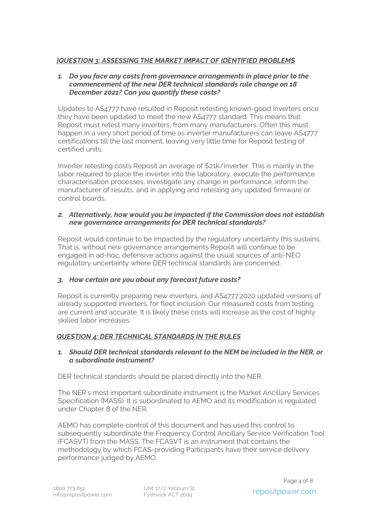# *]QUESTION 3: ASSESSING THE MARKET IMPACT OF IDENTIFIED PROBLEMS*

#### *1. Do you face any costs from governance arrangements in place prior to the commencement of the new DER technical standards rule change on 18 December 2021? Can you quantify these costs?*

Updates to AS4777 have resulted in Reposit retesting known-good inverters once they have been updated to meet the new AS4777 standard. This means that Reposit must retest many inverters, from many manufacturers. Often this must happen in a very short period of time as inverter manufacturers can leave AS4777 certifications till the last moment, leaving very little time for Reposit testing of certified units.

Inverter retesting costs Reposit an average of \$21k/inverter. This is mainly in the labor required to place the inverter into the laboratory, execute the performance characterisation processes, investigate any change in performance, inform the manufacturer of results, and in applying and retesting any updated firmware or control boards.

### *2. Alternatively, how would you be impacted if the Commission does not establish new governance arrangements for DER technical standards?*

Reposit would continue to be impacted by the regulatory uncertainty this sustains. That is, without new governance arrangements Reposit will continue to be engaged in ad-hoc, defensive actions against the usual sources of anti-NEO regulatory uncertainty where DER technical standards are concerned.

# *3. How certain are you about any forecast future costs?*

Reposit is currently preparing new inverters, and AS4777:2020 updated versions of already supported inverters, for fleet inclusion. Our measured costs from testing are current and accurate. It is likely these costs will increase as the cost of highly skilled labor increases.

# *QUESTION 4: DER TECHNICAL STANDARDS IN THE RULES*

### *1. Should DER technical standards relevant to the NEM be included in the NER, or a subordinate instrument?*

DER technical standards should be placed directly into the NER.

The NER's most important subordinate instrument is the Market Ancillary Services Specification (MASS). It is subordinated to AEMO and its modification is regulated under Chapter 8 of the NER.

AEMO has complete control of this document and has used this control to subsequently subordinate the Frequency Control Ancillary Service Verification Tool (FCASVT) from the MASS. The FCASVT is an instrument that contains the methodology by which FCAS-providing Participants have their service delivery performance judged by AEMO.

Unit 17/2 Yallourn St, Fyshwick ACT 2609 repositpower.com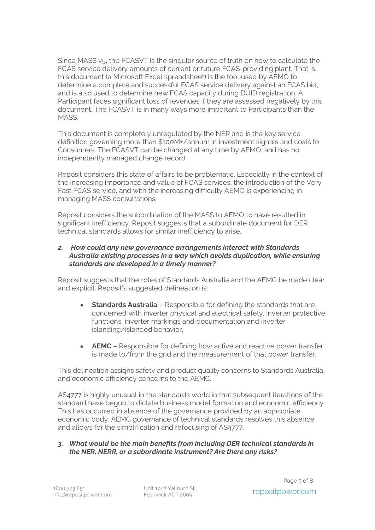Since MASS v5, the FCASVT is the singular source of truth on how to calculate the FCAS service delivery amounts of current or future FCAS-providing plant. That is, this document (a Microsoft Excel spreadsheet) is the tool used by AEMO to determine a complete and successful FCAS service delivery against an FCAS bid, and is also used to determine new FCAS capacity during DUID registration. A Participant faces significant loss of revenues if they are assessed negatively by this document. The FCASVT is in many ways more important to Participants than the **MASS** 

This document is completely unregulated by the NER and is the key service definition governing more than \$100M+/annum in investment signals and costs to Consumers. The FCASVT can be changed at any time by AEMO, and has no independently managed change record.

Reposit considers this state of affairs to be problematic. Especially in the context of the increasing importance and value of FCAS services, the introduction of the Very Fast FCAS service, and with the increasing difficulty AEMO is experiencing in managing MASS consultations.

Reposit considers the subordination of the MASS to AEMO to have resulted in significant inefficiency. Reposit suggests that a subordinate document for DER technical standards allows for similar inefficiency to arise.

### *2. How could any new governance arrangements interact with Standards Australia existing processes in a way which avoids duplication, while ensuring standards are developed in a timely manner?*

Reposit suggests that the roles of Standards Australia and the AEMC be made clear and explicit. Reposit's suggested delineation is:

- **Standards Australia** Responsible for defining the standards that are concerned with inverter physical and electrical safety, inverter protective functions, inverter markings and documentation and inverter islanding/islanded behavior.
- **AEMC**  Responsible for defining how active and reactive power transfer is made to/from the grid and the measurement of that power transfer.

This delineation assigns safety and product quality concerns to Standards Australia, and economic efficiency concerns to the AEMC.

AS4777 is highly unusual in the standards world in that subsequent iterations of the standard have begun to dictate business model formation and economic efficiency. This has occurred in absence of the governance provided by an appropriate economic body. AEMC governance of technical standards resolves this absence and allows for the simplification and refocusing of AS4777.

### *3. What would be the main benefits from including DER technical standards in the NER, NERR, or a subordinate instrument? Are there any risks?*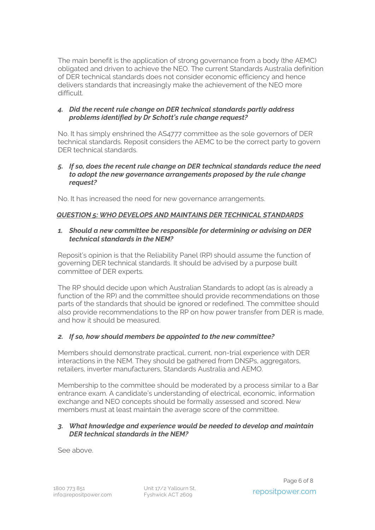The main benefit is the application of strong governance from a body (the AEMC) obligated and driven to achieve the NEO. The current Standards Australia definition of DER technical standards does not consider economic efficiency and hence delivers standards that increasingly make the achievement of the NEO more difficult.

### *4. Did the recent rule change on DER technical standards partly address problems identified by Dr Schott's rule change request?*

No. It has simply enshrined the AS4777 committee as the sole governors of DER technical standards. Reposit considers the AEMC to be the correct party to govern DER technical standards.

*5. If so, does the recent rule change on DER technical standards reduce the need to adopt the new governance arrangements proposed by the rule change request?*

No. It has increased the need for new governance arrangements.

# *QUESTION 5: WHO DEVELOPS AND MAINTAINS DER TECHNICAL STANDARDS*

### *1. Should a new committee be responsible for determining or advising on DER technical standards in the NEM?*

Reposit's opinion is that the Reliability Panel (RP) should assume the function of governing DER technical standards. It should be advised by a purpose built committee of DER experts.

The RP should decide upon which Australian Standards to adopt (as is already a function of the RP) and the committee should provide recommendations on those parts of the standards that should be ignored or redefined. The committee should also provide recommendations to the RP on how power transfer from DER is made, and how it should be measured.

# *2. If so, how should members be appointed to the new committee?*

Members should demonstrate practical, current, non-trial experience with DER interactions in the NEM. They should be gathered from DNSPs, aggregators, retailers, inverter manufacturers, Standards Australia and AEMO.

Membership to the committee should be moderated by a process similar to a Bar entrance exam. A candidate's understanding of electrical, economic, information exchange and NEO concepts should be formally assessed and scored. New members must at least maintain the average score of the committee.

#### *3. What knowledge and experience would be needed to develop and maintain DER technical standards in the NEM?*

See above.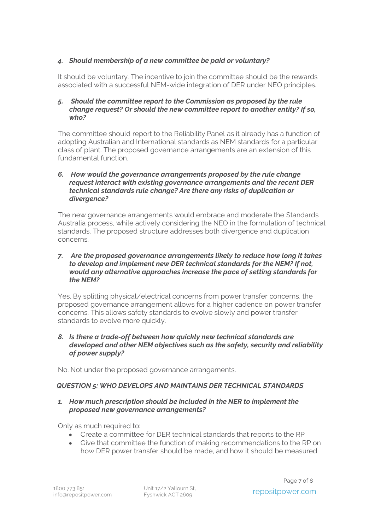# *4. Should membership of a new committee be paid or voluntary?*

It should be voluntary. The incentive to join the committee should be the rewards associated with a successful NEM-wide integration of DER under NEO principles.

### *5. Should the committee report to the Commission as proposed by the rule change request? Or should the new committee report to another entity? If so, who?*

The committee should report to the Reliability Panel as it already has a function of adopting Australian and International standards as NEM standards for a particular class of plant. The proposed governance arrangements are an extension of this fundamental function.

### *6. How would the governance arrangements proposed by the rule change request interact with existing governance arrangements and the recent DER technical standards rule change? Are there any risks of duplication or divergence?*

The new governance arrangements would embrace and moderate the Standards Australia process, while actively considering the NEO in the formulation of technical standards. The proposed structure addresses both divergence and duplication concerns.

### *7. Are the proposed governance arrangements likely to reduce how long it takes to develop and implement new DER technical standards for the NEM? If not, would any alternative approaches increase the pace of setting standards for the NEM?*

Yes. By splitting physical/electrical concerns from power transfer concerns, the proposed governance arrangement allows for a higher cadence on power transfer concerns. This allows safety standards to evolve slowly and power transfer standards to evolve more quickly.

### *8. Is there a trade-off between how quickly new technical standards are developed and other NEM objectives such as the safety, security and reliability of power supply?*

No. Not under the proposed governance arrangements.

# *QUESTION 5: WHO DEVELOPS AND MAINTAINS DER TECHNICAL STANDARDS*

### *1. How much prescription should be included in the NER to implement the proposed new governance arrangements?*

Only as much required to:

- Create a committee for DER technical standards that reports to the RP
- Give that committee the function of making recommendations to the RP on how DER power transfer should be made, and how it should be measured